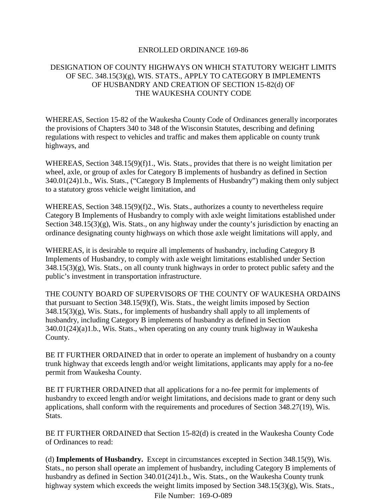## ENROLLED ORDINANCE 169-86

## DESIGNATION OF COUNTY HIGHWAYS ON WHICH STATUTORY WEIGHT LIMITS OF SEC.  $348.15(3)(g)$ , WIS. STATS., APPLY TO CATEGORY B IMPLEMENTS OF HUSBANDRY AND CREATION OF SECTION 15-82(d) OF THE WAUKESHA COUNTY CODE

WHEREAS, Section 15-82 of the Waukesha County Code of Ordinances generally incorporates the provisions of Chapters 340 to 348 of the Wisconsin Statutes, describing and defining regulations with respect to vehicles and traffic and makes them applicable on county trunk highways, and

WHEREAS, Section 348.15(9)(f)1., Wis. Stats., provides that there is no weight limitation per wheel, axle, or group of axles for Category B implements of husbandry as defined in Section 340.01(24)1.b., Wis. Stats., ("Category B Implements of Husbandry") making them only subject to a statutory gross vehicle weight limitation, and

WHEREAS, Section 348.15(9)(f)2., Wis. Stats., authorizes a county to nevertheless require Category B Implements of Husbandry to comply with axle weight limitations established under Section 348.15(3)(g), Wis. Stats., on any highway under the county's jurisdiction by enacting an ordinance designating county highways on which those axle weight limitations will apply, and

WHEREAS, it is desirable to require all implements of husbandry, including Category B Implements of Husbandry, to comply with axle weight limitations established under Section 348.15(3)(g), Wis. Stats., on all county trunk highways in order to protect public safety and the public's investment in transportation infrastructure.

THE COUNTY BOARD OF SUPERVISORS OF THE COUNTY OF WAUKESHA ORDAINS that pursuant to Section 348.15(9)(f), Wis. Stats., the weight limits imposed by Section  $348.15(3)(g)$ , Wis. Stats., for implements of husbandry shall apply to all implements of husbandry, including Category B implements of husbandry as defined in Section 340.01(24)(a)1.b., Wis. Stats., when operating on any county trunk highway in Waukesha County.

BE IT FURTHER ORDAINED that in order to operate an implement of husbandry on a county trunk highway that exceeds length and/or weight limitations, applicants may apply for a no-fee permit from Waukesha County.

BE IT FURTHER ORDAINED that all applications for a no-fee permit for implements of husbandry to exceed length and/or weight limitations, and decisions made to grant or deny such applications, shall conform with the requirements and procedures of Section 348.27(19), Wis. Stats.

BE IT FURTHER ORDAINED that Section 15-82(d) is created in the Waukesha County Code of Ordinances to read:

(d) **Implements of Husbandry.** Except in circumstances excepted in Section 348.15(9), Wis. Stats., no person shall operate an implement of husbandry, including Category B implements of husbandry as defined in Section 340.01(24)1.b., Wis. Stats., on the Waukesha County trunk highway system which exceeds the weight limits imposed by Section 348.15(3)(g), Wis. Stats., File Number: 169-O-089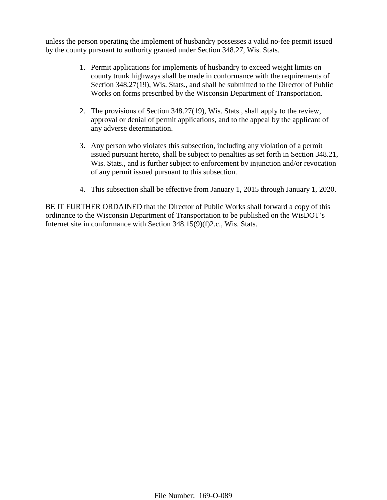unless the person operating the implement of husbandry possesses a valid no-fee permit issued by the county pursuant to authority granted under Section 348.27, Wis. Stats.

- 1. Permit applications for implements of husbandry to exceed weight limits on county trunk highways shall be made in conformance with the requirements of Section 348.27(19), Wis. Stats., and shall be submitted to the Director of Public Works on forms prescribed by the Wisconsin Department of Transportation.
- 2. The provisions of Section 348.27(19), Wis. Stats., shall apply to the review, approval or denial of permit applications, and to the appeal by the applicant of any adverse determination.
- 3. Any person who violates this subsection, including any violation of a permit issued pursuant hereto, shall be subject to penalties as set forth in Section 348.21, Wis. Stats., and is further subject to enforcement by injunction and/or revocation of any permit issued pursuant to this subsection.
- 4. This subsection shall be effective from January 1, 2015 through January 1, 2020.

BE IT FURTHER ORDAINED that the Director of Public Works shall forward a copy of this ordinance to the Wisconsin Department of Transportation to be published on the WisDOT's Internet site in conformance with Section 348.15(9)(f)2.c., Wis. Stats.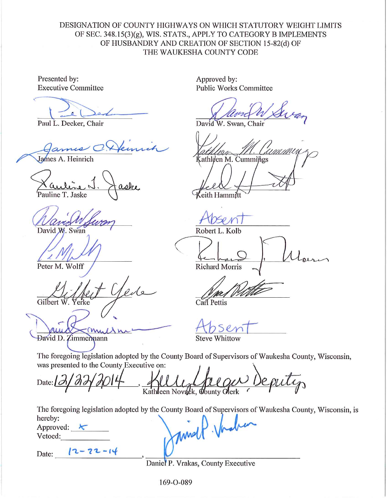## DESIGNATION OF COUNTY HIGHWAYS ON WHICH STATUTORY WEIGHT LIMITS OF SEC. 348.15(3)(g), WIS. STATS., APPLY TO CATEGORY B IMPLEMENTS OF HUSBANDRY AND CREATION OF SECTION 15-82(d) OF THE WAUKESHA COUNTY CODE

Presented by: **Executive Committee** 

Paul L. Decker, Chair

James A. Heinrich

Pauline T. Jaske

David W. Swan

Peter M. Wolff

Gilbert Yerke

David D. Zimmermann

Approved by: **Public Works Committee** 

David W. Swan, Chair

 $S$ athleen M. Cummings

eith Hammitt

Robert L. Kolb

**Richard Morris** 

Carl Pettis

**Steve Whittow** 

The foregoing legislation adopted by the County Board of Supervisors of Waukesha County, Wisconsin, was presented to the County Executive on:

Date:  $\mathcal{L}$ Kathleen Novack, County Olerk

The foregoing legislation adopted by the County Board of Supervisors of Waukesha County, Wisconsin, is Murall Vache hereby:

Approved:  $\leftarrow$ Vetoed:

Date:  $12 - 22 - 14$ 

Daniel P. Vrakas, County Executive

169-0-089